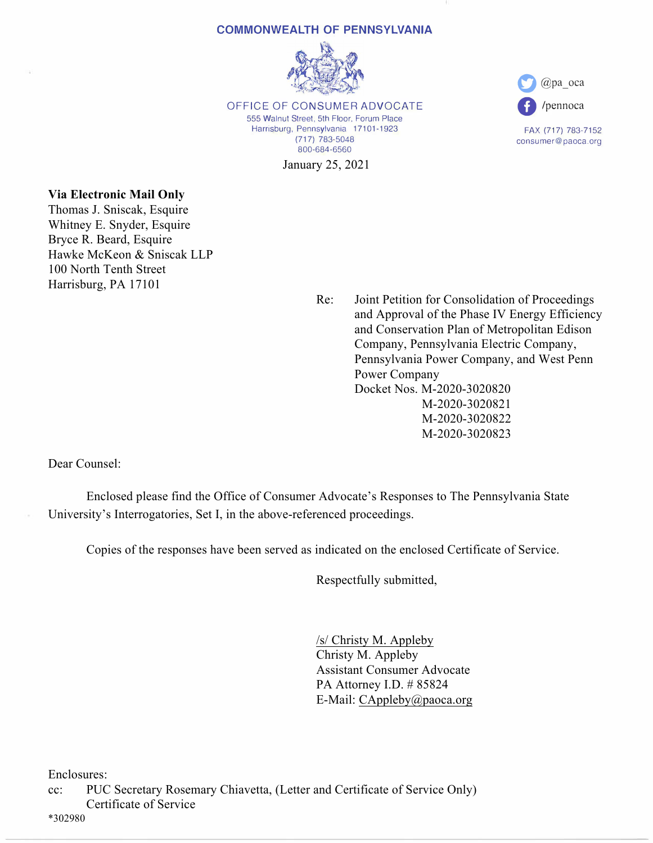## **COMMONWEALTH OF PENNSYLVANIA**



OFFICE OF CONSUMER ADVOCATE 555 Walnut Street, 5th Floor, Forum Place Harrisburg, Pennsylvania 17101-1923 (717) 783-5048 800-684-6560

January 25, 2021



FAX (717) 783-7152 consumer@paoca.org

## **Via Electronic Mail Only**

Thomas J. Sniscak, Esquire Whitney E. Snyder, Esquire Bryce R. Beard, Esquire Hawke McKeon & Sniscak LLP 100 North Tenth Street Harrisburg, PA 17101

> Re: Joint Petition for Consolidation of Proceedings and Approval of the Phase IV Energy Efficiency and Conservation Plan of Metropolitan Edison Company, Pennsylvania Electric Company, Pennsylvania Power Company, and West Penn Power Company Docket Nos. M-2020-3020820 M-2020-3020821 M-2020-3020822 M-2020-3020823

Dear Counsel:

 Enclosed please find the Office of Consumer Advocate's Responses to The Pennsylvania State University's Interrogatories, Set I, in the above-referenced proceedings.

Copies of the responses have been served as indicated on the enclosed Certificate of Service.

Respectfully submitted,

 /s/ Christy M. Appleby Christy M. Appleby Assistant Consumer Advocate PA Attorney I.D. # 85824 E-Mail: CAppleby@paoca.org

Enclosures:

cc: PUC Secretary Rosemary Chiavetta, (Letter and Certificate of Service Only) Certificate of Service

\*302980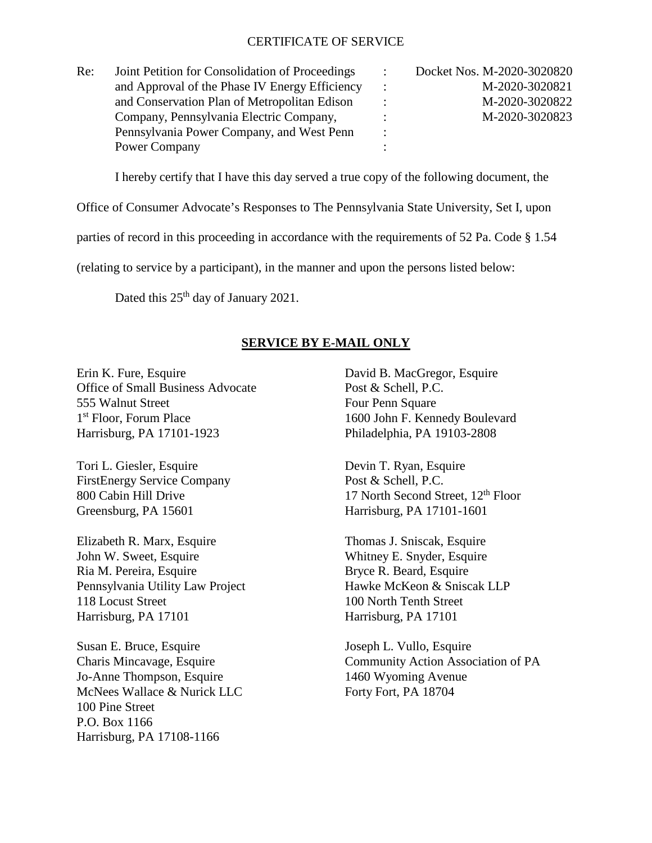## CERTIFICATE OF SERVICE

| Re: | Joint Petition for Consolidation of Proceedings | $\ddot{\cdot}$       | Docket Nos. M-2020-3020820 |
|-----|-------------------------------------------------|----------------------|----------------------------|
|     | and Approval of the Phase IV Energy Efficiency  | $\ddot{\phantom{0}}$ | M-2020-3020821             |
|     | and Conservation Plan of Metropolitan Edison    |                      | M-2020-3020822             |
|     | Company, Pennsylvania Electric Company,         |                      | M-2020-3020823             |
|     | Pennsylvania Power Company, and West Penn       | $\ddot{\cdot}$       |                            |
|     | Power Company                                   |                      |                            |

I hereby certify that I have this day served a true copy of the following document, the

Office of Consumer Advocate's Responses to The Pennsylvania State University, Set I, upon

parties of record in this proceeding in accordance with the requirements of 52 Pa. Code § 1.54

(relating to service by a participant), in the manner and upon the persons listed below:

Dated this 25<sup>th</sup> day of January 2021.

## **SERVICE BY E-MAIL ONLY**

Erin K. Fure, Esquire David B. MacGregor, Esquire Office of Small Business Advocate Post & Schell, P.C. 555 Walnut Street Four Penn Square 1<sup>st</sup> Floor, Forum Place 1600 John F. Kennedy Boulevard Harrisburg, PA 17101-1923 Philadelphia, PA 19103-2808

Tori L. Giesler, Esquire Devin T. Ryan, Esquire FirstEnergy Service Company Post & Schell, P.C. Greensburg, PA 15601 Harrisburg, PA 17101-1601

Elizabeth R. Marx, Esquire Thomas J. Sniscak, Esquire John W. Sweet, Esquire Whitney E. Snyder, Esquire Ria M. Pereira, Esquire Bryce R. Beard, Esquire Pennsylvania Utility Law Project Hawke McKeon & Sniscak LLP 118 Locust Street 100 North Tenth Street Harrisburg, PA 17101 Harrisburg, PA 17101

Susan E. Bruce, Esquire Joseph L. Vullo, Esquire Jo-Anne Thompson, Esquire 1460 Wyoming Avenue McNees Wallace & Nurick LLC Forty Fort, PA 18704 100 Pine Street P.O. Box 1166 Harrisburg, PA 17108-1166

800 Cabin Hill Drive 17 North Second Street,  $12<sup>th</sup>$  Floor

Charis Mincavage, Esquire Community Action Association of PA